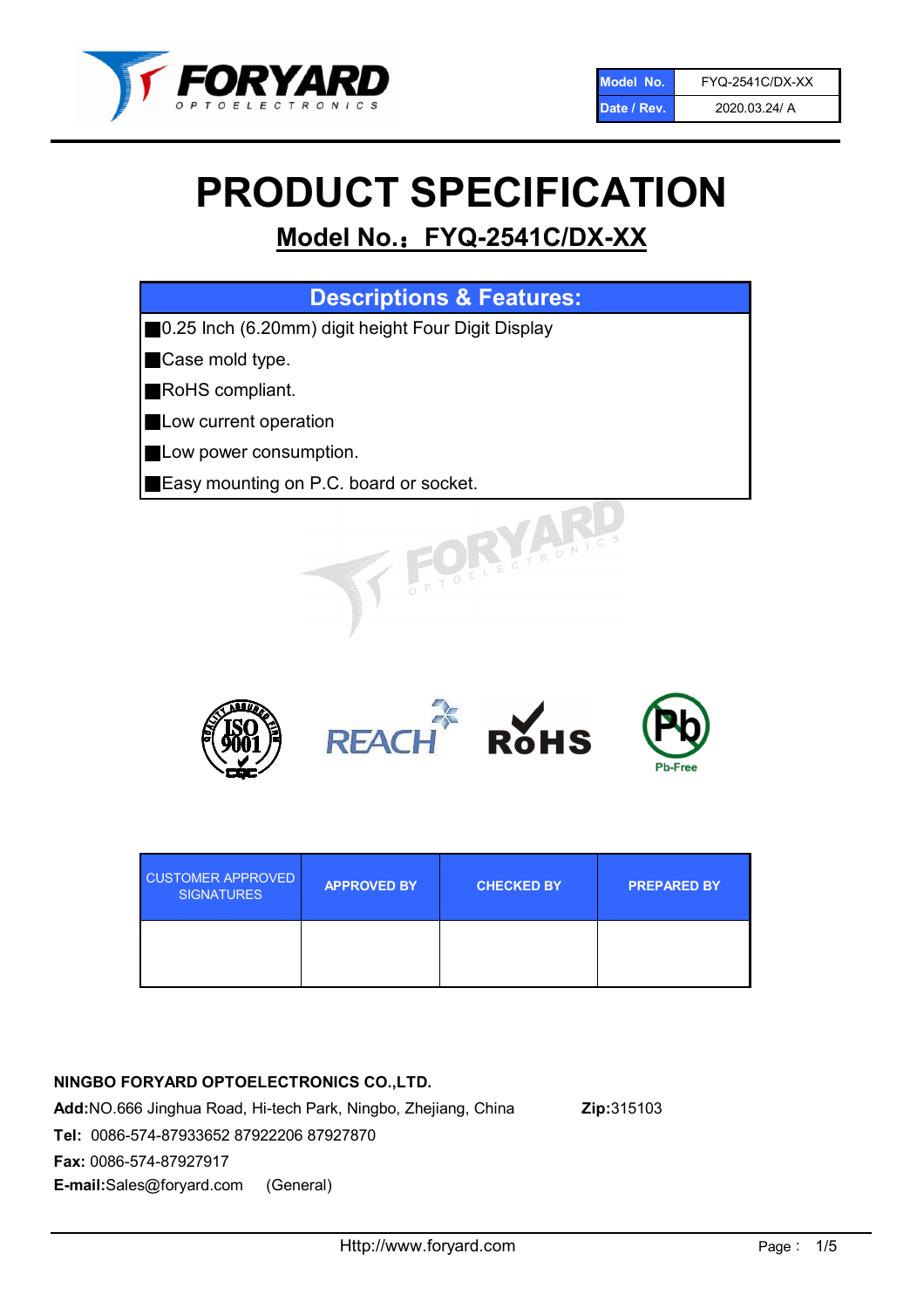

# PRODUCT SPECIFICATION

# Model No.: FYQ-2541C/DX-XX

| <b>Descriptions &amp; Features:</b>                |
|----------------------------------------------------|
| 0.25 Inch (6.20mm) digit height Four Digit Display |
| Case mold type.                                    |
| RoHS compliant.                                    |
| Low current operation                              |
| Low power consumption.                             |
| Easy mounting on P.C. board or socket.             |
| TOELECTRONIC.                                      |



| <b>CUSTOMER APPROVED</b><br><b>SIGNATURES</b> | <b>APPROVED BY</b> | <b>CHECKED BY</b> | <b>PREPARED BY</b> |
|-----------------------------------------------|--------------------|-------------------|--------------------|
|                                               |                    |                   |                    |

### NINGBO FORYARD OPTOELECTRONICS CO.,LTD.

Add:NO.666 Jinghua Road, Hi-tech Park, Ningbo, Zhejiang, China Zip:315103 Tel: 0086-574-87933652 87922206 87927870 Fax: 0086-574-87927917 E-mail:Sales@foryard.com (General)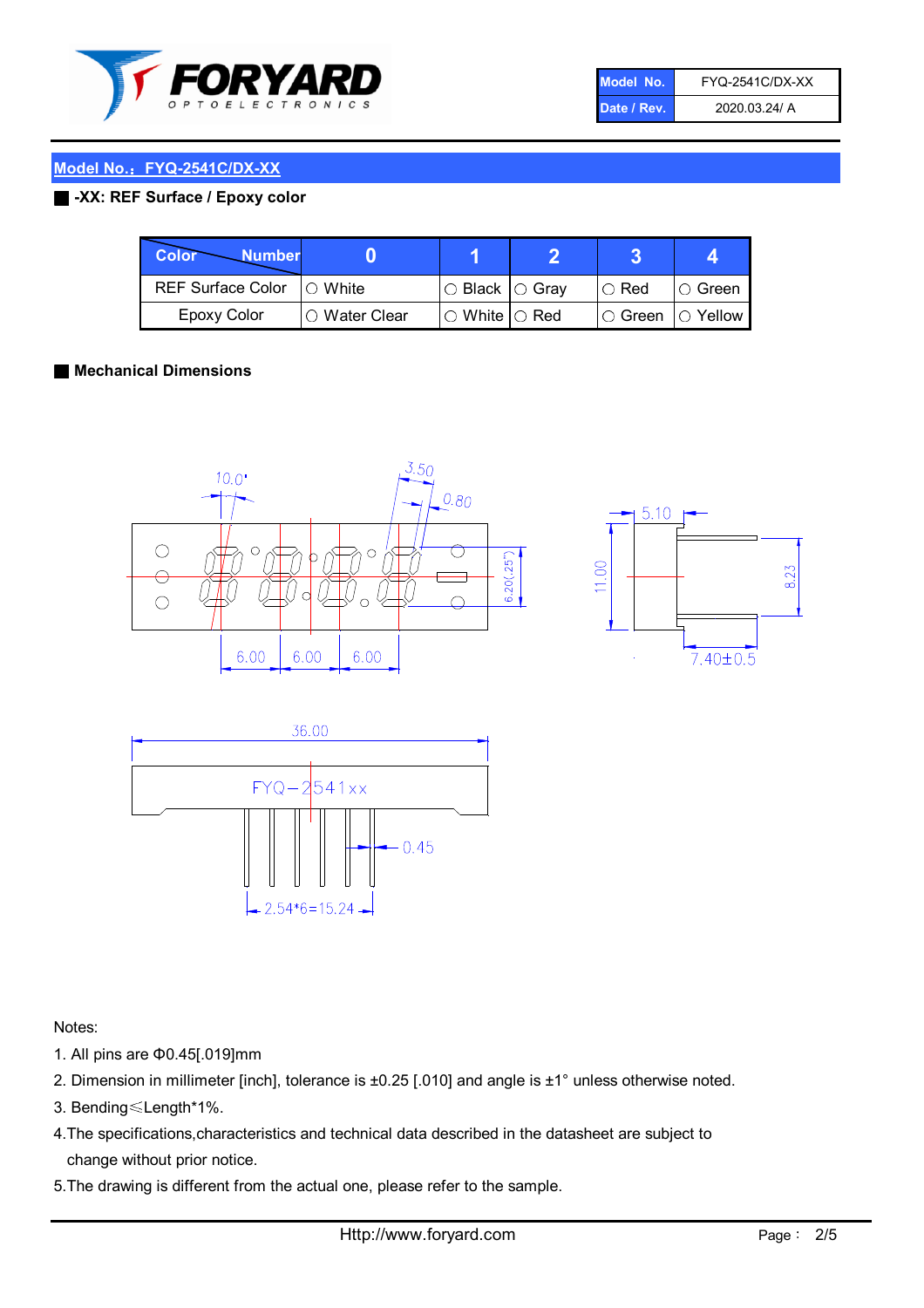

| Model No.   | <b>FYQ-2541C/DX-XX</b> |
|-------------|------------------------|
| Date / Rev. | 2020.03.24/ A          |

#### Model No.: FYQ-2541C/DX-XX

#### ■ -XX: REF Surface / Epoxy color

| Color<br><b>Number</b>      |                        |                            |          |                |
|-----------------------------|------------------------|----------------------------|----------|----------------|
| REF Surface Color   O White |                        | $\circ$ Black $\circ$ Gray | I⊖ Red   | ∣O Green       |
| Epoxy Color                 | $\bigcirc$ Water Clear | $\circ$ White $\circ$ Red  | I⊖ Green | $\circ$ Yellow |

#### ■ Mechanical Dimensions







Notes:

- 1. All pins are Φ0.45[.019]mm
- 2. Dimension in millimeter [inch], tolerance is ±0.25 [.010] and angle is ±1° unless otherwise noted.
- 3. Bending≤Length\*1%.
- 4.The specifications,characteristics and technical data described in the datasheet are subject to change without prior notice.
- 5.The drawing is different from the actual one, please refer to the sample.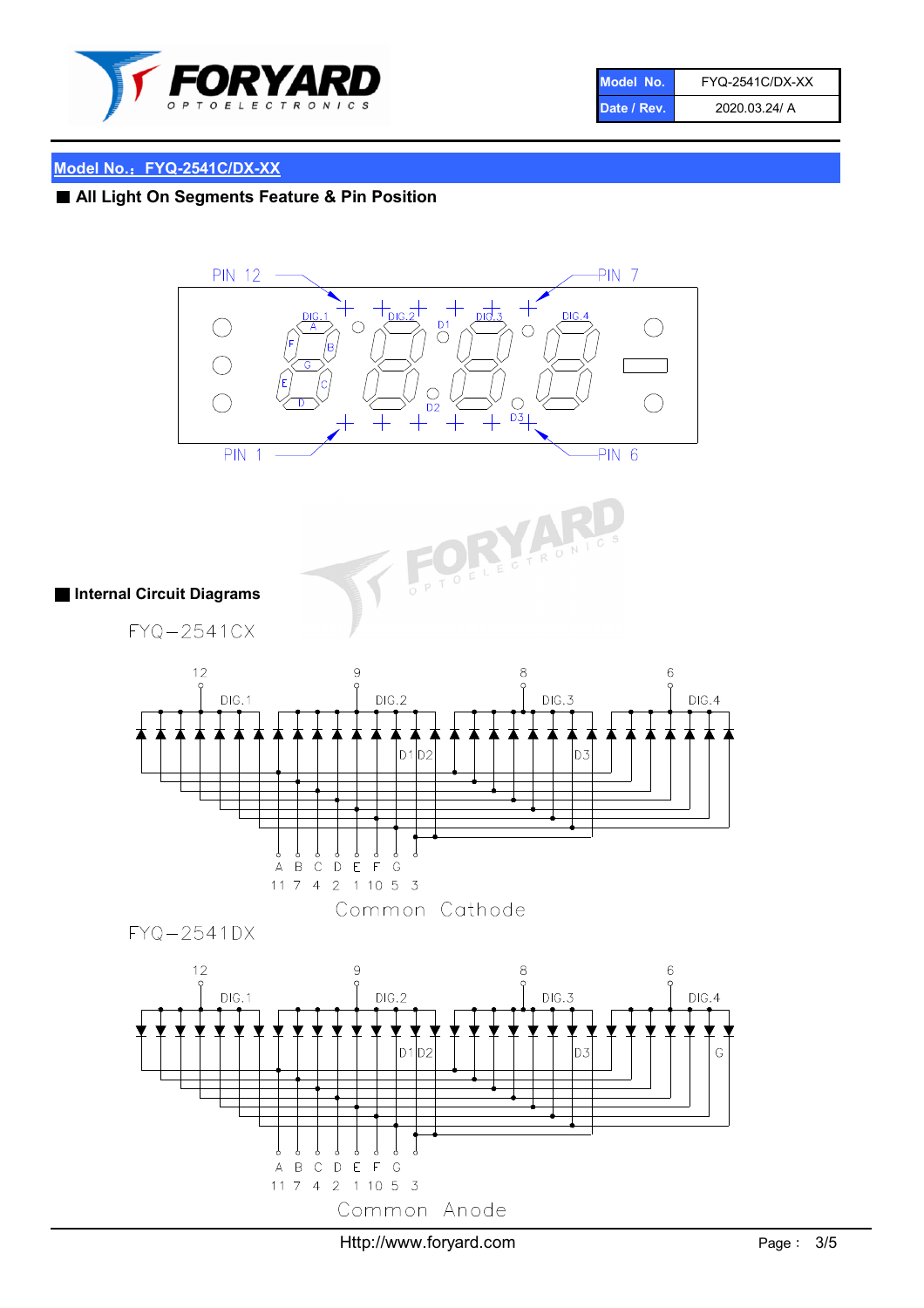

| Model No.   | <b>FYQ-2541C/DX-XX</b> |
|-------------|------------------------|
| Date / Rev. | 2020.03.24/ A          |

## Model No.: FYQ-2541C/DX-XX

# ■ All Light On Segments Feature & Pin Position





#### ■ Internal Circuit Diagrams

FYQ-2541CX



FYQ-2541DX

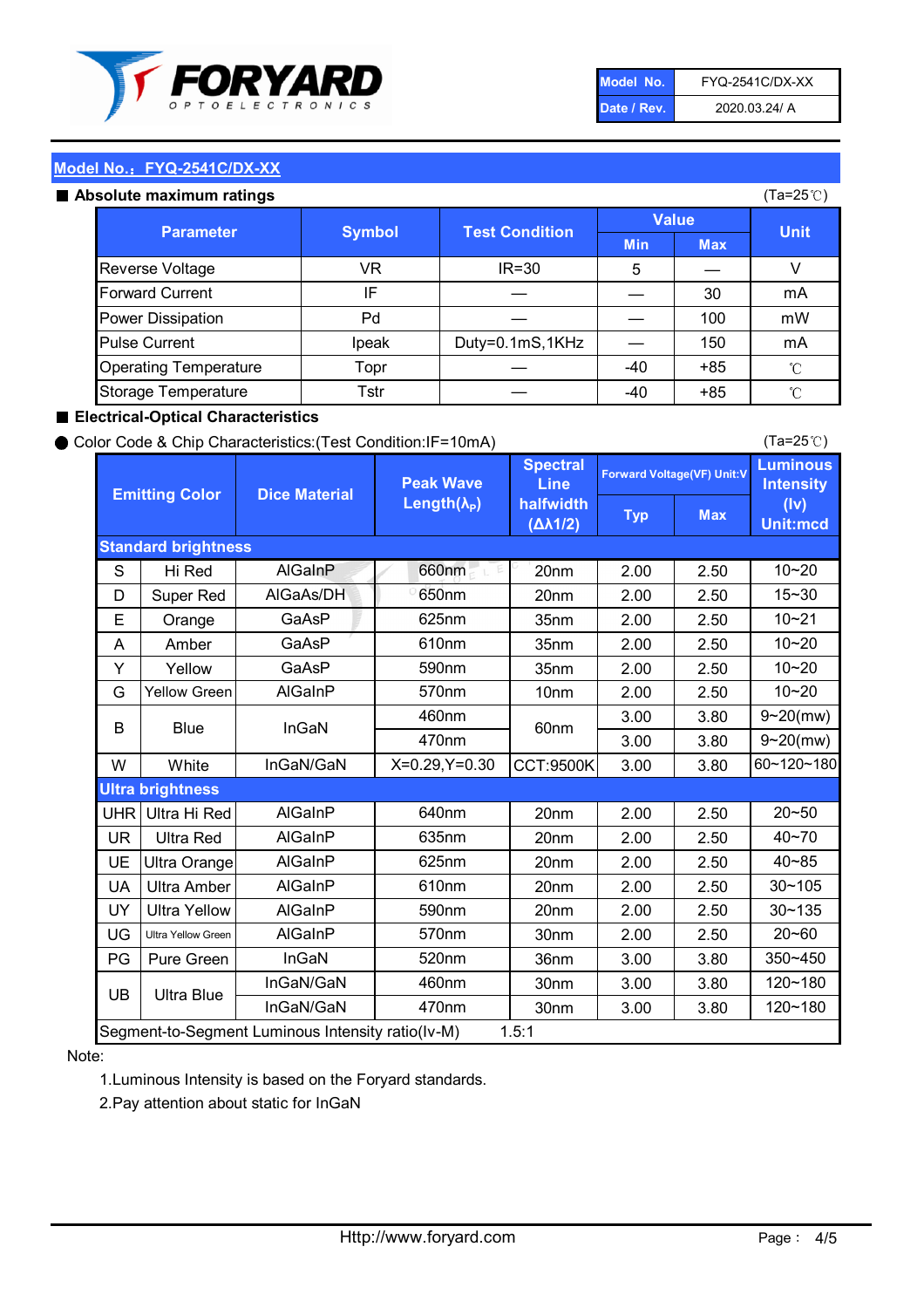

| Model No.   | <b>FYQ-2541C/DX-XX</b> |
|-------------|------------------------|
| Date / Rev. | 2020.03.24/ A          |

(Ta=25℃)

#### Model No.: FYQ-2541C/DX-XX

#### Absolute maximum

| solute maximum ratings       |               |                       |              |            | (Ta=25℃)    |
|------------------------------|---------------|-----------------------|--------------|------------|-------------|
| <b>Parameter</b>             | <b>Symbol</b> | <b>Test Condition</b> | <b>Value</b> |            |             |
|                              |               |                       | <b>Min</b>   | <b>Max</b> | <b>Unit</b> |
| Reverse Voltage              | VR            | $IR = 30$             | 5            |            |             |
| <b>Forward Current</b>       | IF            |                       |              | 30         | mA          |
| Power Dissipation            | Pd            |                       |              | 100        | mW          |
| <b>Pulse Current</b>         | Ipeak         | Duty=0.1mS,1KHz       |              | 150        | mA          |
| <b>Operating Temperature</b> | Topr          |                       | $-40$        | $+85$      | °C          |
| Storage Temperature          | Tstr          |                       | -40          | $+85$      | °C          |

#### ■ Electrical-Optical Characteristics

#### ● Color Code & Chip Characteristics:(Test Condition:IF=10mA)

Typ Max S | Hi $\textsf{Red}$  | AlGaInP | 660nm LE 20nm | 2.00 | 2.50 D | Super Red | AIGaAs/DH | 650nm | 20nm | 2.00 | 2.50 E | Orange | GaAsP | 625nm | 35nm | 2.00 | 2.50 A | Amber | GaAsP | 610nm | 35nm | 2.00 | 2.50 Y | Yellow | GaAsP | 590nm | 35nm | 2.00 | 2.50 G Yellow Green AIGaInP | 570nm | 10nm | 2.00 | 2.50 3.00 3.80 3.00 3.80 W | White | InGaN/GaN | X=0.29,Y=0.30 |CCT:9500K| 3.00 | 3.80 UHR Ultra Hi Red  $\vert$  AIGaInP  $\vert$  640nm  $\vert$  20nm  $\vert$  2.00  $\vert$  2.50 UR | Ultra Red | AlGaInP | 635nm | 20nm | 2.00 | 2.50 UE Ultra Orange | AIGaInP | 625nm | 20nm | 2.00 | 2.50 UA Ultra Amber | AIGaInP | 610nm | 20nm | 2.00 | 2.50  $UV$  Ultra Yellow  $\vert$  AlGaInP  $\vert$  590nm  $\vert$  20nm  $\vert$  2.00  $\vert$  2.50  $\text{UG}$  Ultra Yellow Green | AIGaInP | 570nm | 30nm | 2.00 | 2.50 PG | Pure Green | InGaN | 520nm | 36nm | 3.00 | 3.80 30nm 3.00 3.80 30nm 3.00 3.80 10~20 Standard brightness Forward Voltage(VF) Unit:V 15~30 10~20 10~20 625nm GaAsP 590nm **Emitting Color Dice Material** 10~21 610nm Luminous **Intensity** (Iv) Unit:mcd AlGainP 660nm GaAsP GaAsP AlGaAs/DH **Spectral** Line halfwidth (∆λ1/2) Peak Wave Length $(\lambda_{\rm P})$ UB 460nm 635nm AlGaInP AlGaInP AlGaInP InGaN/GaN AlGaInP | 570nm | 10nm | 2.00 | 2.50 | 10~20 30~105 30~135 460nm 520nm Ultra brightness **AlGaInP** AlGaInP 60nm AlGaInP 640nm Segment-to-Segment Luminous Intensity ratio(Iv-M) 1.5:1 610nm 9~20(mw) 350~450 470nm 120~180 120~180 Ultra Blue InGaN/GaN 9~20(mw) 20~50 570nm | 30nm | 2.00 | 2.50 | 20~60 470nm 590nm InGaN/GaN B Blue I InGaN 40~85 60~120~180 40~70

#### Note:

1.Luminous Intensity is based on the Foryard standards.

2.Pay attention about static for InGaN